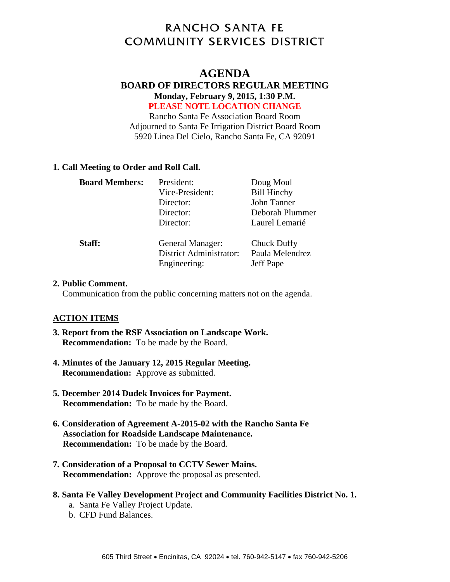# **RANCHO SANTA FE COMMUNITY SERVICES DISTRICT**

# **AGENDA**

#### **BOARD OF DIRECTORS REGULAR MEETING Monday, February 9, 2015, 1:30 P.M. PLEASE NOTE LOCATION CHANGE**

Rancho Santa Fe Association Board Room Adjourned to Santa Fe Irrigation District Board Room 5920 Linea Del Cielo, Rancho Santa Fe, CA 92091

#### **1. Call Meeting to Order and Roll Call.**

| <b>Board Members:</b> | President:                                                         | Doug Moul                                   |
|-----------------------|--------------------------------------------------------------------|---------------------------------------------|
|                       | Vice-President:                                                    | <b>Bill Hinchy</b>                          |
|                       | Director:                                                          | John Tanner                                 |
|                       | Director:                                                          | Deborah Plummer                             |
|                       | Director:                                                          | Laurel Lemarié                              |
| Staff:                | General Manager:<br><b>District Administrator:</b><br>Engineering: | Chuck Duffy<br>Paula Melendrez<br>Jeff Pape |

#### **2. Public Comment.**

Communication from the public concerning matters not on the agenda.

# **ACTION ITEMS**

- **3. Report from the RSF Association on Landscape Work. Recommendation:** To be made by the Board.
- **4. Minutes of the January 12, 2015 Regular Meeting. Recommendation:** Approve as submitted.
- **5. December 2014 Dudek Invoices for Payment. Recommendation:** To be made by the Board.
- **6. Consideration of Agreement A-2015-02 with the Rancho Santa Fe Association for Roadside Landscape Maintenance. Recommendation:** To be made by the Board.
- **7. Consideration of a Proposal to CCTV Sewer Mains. Recommendation:** Approve the proposal as presented.
- **8. Santa Fe Valley Development Project and Community Facilities District No. 1.** 
	- a. Santa Fe Valley Project Update.
	- b. CFD Fund Balances.